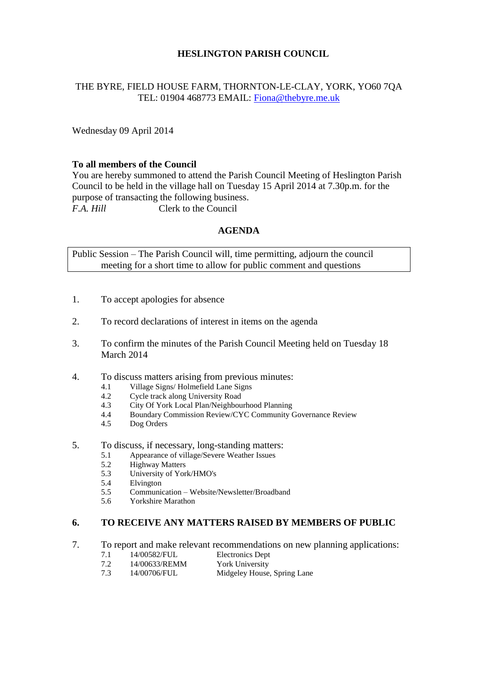# **HESLINGTON PARISH COUNCIL**

# THE BYRE, FIELD HOUSE FARM, THORNTON-LE-CLAY, YORK, YO60 7QA TEL: 01904 468773 EMAIL: [Fiona@thebyre.me.uk](mailto:Fiona@thebyre.me.uk)

Wednesday 09 April 2014

## **To all members of the Council**

You are hereby summoned to attend the Parish Council Meeting of Heslington Parish Council to be held in the village hall on Tuesday 15 April 2014 at 7.30p.m. for the purpose of transacting the following business. *F.A. Hill* Clerk to the Council

### **AGENDA**

Public Session – The Parish Council will, time permitting, adjourn the council meeting for a short time to allow for public comment and questions

- 1. To accept apologies for absence
- 2. To record declarations of interest in items on the agenda
- 3. To confirm the minutes of the Parish Council Meeting held on Tuesday 18 March 2014
- 4. To discuss matters arising from previous minutes:
	- 4.1 Village Signs/ Holmefield Lane Signs
	- 4.2 Cycle track along University Road
	- 4.3 City Of York Local Plan/Neighbourhood Planning
	- 4.4 Boundary Commission Review/CYC Community Governance Review
	- 4.5 Dog Orders
- 5. To discuss, if necessary, long-standing matters:
	- 5.1 Appearance of village/Severe Weather Issues
	- 5.2 Highway Matters
	- 5.3 University of York/HMO's
	- 5.4 Elvington
	- 5.5 Communication Website/Newsletter/Broadband
	- 5.6 Yorkshire Marathon

#### **6. TO RECEIVE ANY MATTERS RAISED BY MEMBERS OF PUBLIC**

- 7. To report and make relevant recommendations on new planning applications:
	- 7.1 14/00582/FUL Electronics Dept
	- 7.2 14/00633/REMM York University
	- 7.3 14/00706/FUL Midgeley House, Spring Lane